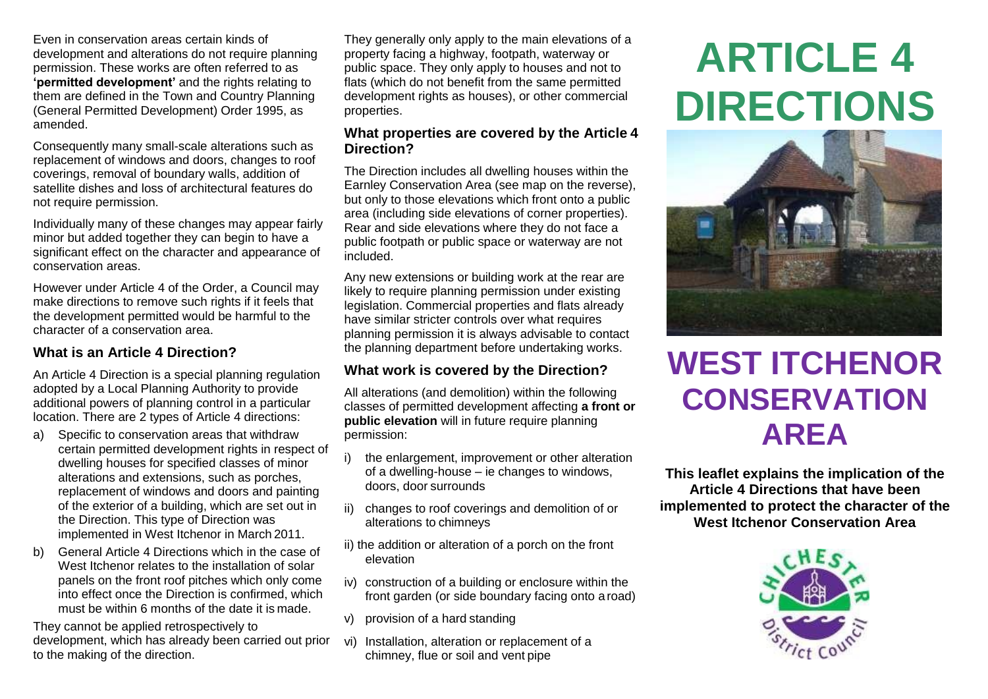Even in conservation areas certain kinds of development and alterations do not require planning permission. These works are often referred to as **'permitted development'** and the rights relating to them are defined in the Town and Country Planning (General Permitted Development) Order 1995, as amended.

Consequently many small-scale alterations such as replacement of windows and doors, changes to roof coverings, removal of boundary walls, addition of satellite dishes and loss of architectural features do not require permission.

Individually many of these changes may appear fairly minor but added together they can begin to have a significant effect on the character and appearance of conservation areas.

However under Article 4 of the Order, a Council may make directions to remove such rights if it feels that the development permitted would be harmful to the character of a conservation area.

### **What is an Article 4 Direction?**

An Article 4 Direction is a special planning regulation adopted by a Local Planning Authority to provide additional powers of planning control in a particular location. There are 2 types of Article 4 directions:

- a) Specific to conservation areas that withdraw certain permitted development rights in respect of dwelling houses for specified classes of minor alterations and extensions, such as porches, replacement of windows and doors and painting of the exterior of a building, which are set out in the Direction. This type of Direction was implemented in West Itchenor in March 2011.
- b) General Article 4 Directions which in the case of West Itchenor relates to the installation of solar panels on the front roof pitches which only come into effect once the Direction is confirmed, which must be within 6 months of the date it is made.

They cannot be applied retrospectively to development, which has already been carried out prior to the making of the direction.

They generally only apply to the main elevations of a property facing a highway, footpath, waterway or public space. They only apply to houses and not to flats (which do not benefit from the same permitted development rights as houses), or other commercial properties.

#### **What properties are covered by the Article 4 Direction?**

The Direction includes all dwelling houses within the Earnley Conservation Area (see map on the reverse), but only to those elevations which front onto a public area (including side elevations of corner properties). Rear and side elevations where they do not face a public footpath or public space or waterway are not included.

Any new extensions or building work at the rear are likely to require planning permission under existing legislation. Commercial properties and flats already have similar stricter controls over what requires planning permission it is always advisable to contact the planning department before undertaking works.

### **What work is covered by the Direction?**

All alterations (and demolition) within the following classes of permitted development affecting **a front or public elevation** will in future require planning permission:

- i) the enlargement, improvement or other alteration of a dwelling-house – ie changes to windows, doors, door surrounds
- ii) changes to roof coverings and demolition of or alterations to chimneys
- ii) the addition or alteration of a porch on the front elevation
- iv) construction of a building or enclosure within the front garden (or side boundary facing onto a road)
- v) provision of a hard standing
- vi) Installation, alteration or replacement of a chimney, flue or soil and vent pipe

# **ARTICLE 4 DIRECTIONS**



# **WEST ITCHENOR CONSERVATION AREA**

**This leaflet explains the implication of the Article 4 Directions that have been implemented to protect the character of the West Itchenor Conservation Area**